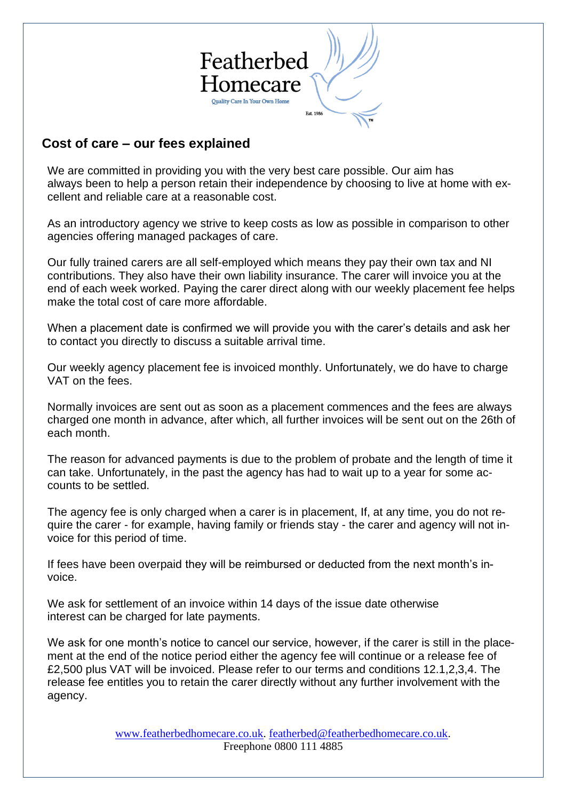

## **Cost of care – our fees explained**

We are committed in providing you with the very best care possible. Our aim has always been to help a person retain their independence by choosing to live at home with excellent and reliable care at a reasonable cost.

As an introductory agency we strive to keep costs as low as possible in comparison to other agencies offering managed packages of care.

Our fully trained carers are all self-employed which means they pay their own tax and NI contributions. They also have their own liability insurance. The carer will invoice you at the end of each week worked. Paying the carer direct along with our weekly placement fee helps make the total cost of care more affordable.

When a placement date is confirmed we will provide you with the carer's details and ask her to contact you directly to discuss a suitable arrival time.

Our weekly agency placement fee is invoiced monthly. Unfortunately, we do have to charge VAT on the fees.

Normally invoices are sent out as soon as a placement commences and the fees are always charged one month in advance, after which, all further invoices will be sent out on the 26th of each month.

The reason for advanced payments is due to the problem of probate and the length of time it can take. Unfortunately, in the past the agency has had to wait up to a year for some accounts to be settled.

The agency fee is only charged when a carer is in placement, If, at any time, you do not require the carer - for example, having family or friends stay - the carer and agency will not invoice for this period of time.

If fees have been overpaid they will be reimbursed or deducted from the next month's invoice.

We ask for settlement of an invoice within 14 days of the issue date otherwise interest can be charged for late payments.

We ask for one month's notice to cancel our service, however, if the carer is still in the placement at the end of the notice period either the agency fee will continue or a release fee of £2,500 plus VAT will be invoiced. Please refer to our terms and conditions 12.1,2,3,4. The release fee entitles you to retain the carer directly without any further involvement with the agency.

> [www.featherbedhomecare.co.uk.](http://www.featherbedhomecare.co.uk/) [featherbed@featherbedhomecare.co.uk.](mailto:featherbed@featherbedhomecare.co.uk) Freephone 0800 111 4885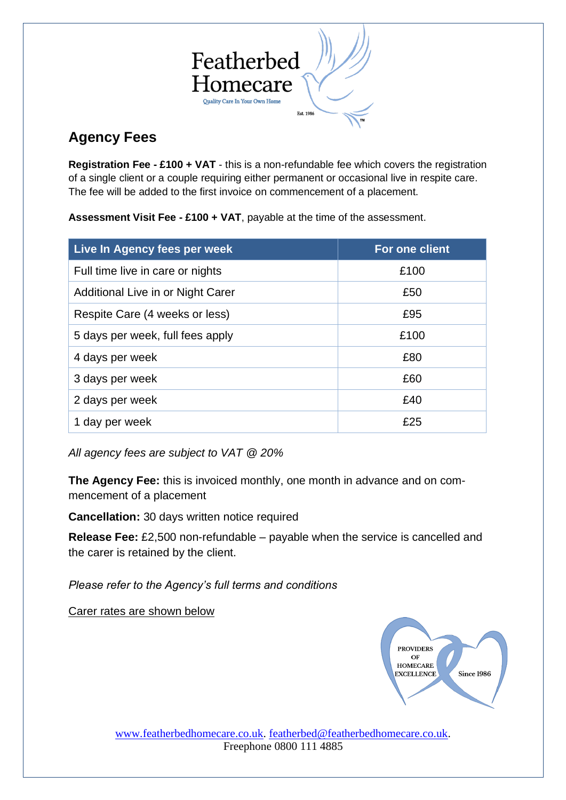

# **Agency Fees**

**Registration Fee - £100 + VAT** - this is a non-refundable fee which covers the registration of a single client or a couple requiring either permanent or occasional live in respite care. The fee will be added to the first invoice on commencement of a placement.

**Assessment Visit Fee - £100 + VAT**, payable at the time of the assessment.

| <b>Live In Agency fees per week</b> | For one client |
|-------------------------------------|----------------|
| Full time live in care or nights    | £100           |
| Additional Live in or Night Carer   | £50            |
| Respite Care (4 weeks or less)      | £95            |
| 5 days per week, full fees apply    | £100           |
| 4 days per week                     | £80            |
| 3 days per week                     | £60            |
| 2 days per week                     | £40            |
| 1 day per week                      | £25            |

*All agency fees are subject to VAT @ 20%*

**The Agency Fee:** this is invoiced monthly, one month in advance and on commencement of a placement

**Cancellation:** 30 days written notice required

**Release Fee:** £2,500 non-refundable – payable when the service is cancelled and the carer is retained by the client.

*Please refer to the Agency's full terms and conditions*

Carer rates are shown below



[www.featherbedhomecare.co.uk.](http://www.featherbedhomecare.co.uk/) [featherbed@featherbedhomecare.co.uk.](mailto:featherbed@featherbedhomecare.co.uk) Freephone 0800 111 4885